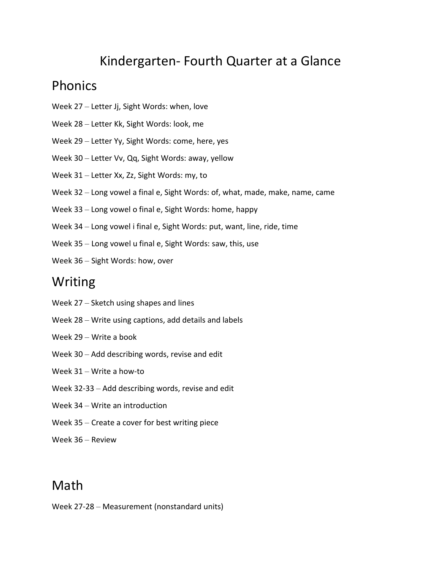# Kindergarten- Fourth Quarter at a Glance

### Phonics

- Week 27 Letter Jj, Sight Words: when, love
- Week 28 Letter Kk, Sight Words: look, me
- Week 29 Letter Yy, Sight Words: come, here, yes
- Week 30 Letter Vv, Qq, Sight Words: away, yellow
- Week 31 Letter Xx, Zz, Sight Words: my, to
- Week 32 Long vowel a final e, Sight Words: of, what, made, make, name, came
- Week 33 Long vowel o final e, Sight Words: home, happy
- Week 34 Long vowel i final e, Sight Words: put, want, line, ride, time
- Week 35 Long vowel u final e, Sight Words: saw, this, use
- Week 36 Sight Words: how, over

### Writing

- Week 27 Sketch using shapes and lines
- Week 28 Write using captions, add details and labels
- Week 29 Write a book
- Week 30 Add describing words, revise and edit
- Week 31 Write a how-to
- Week 32-33 Add describing words, revise and edit
- Week 34 Write an introduction
- Week 35 Create a cover for best writing piece
- Week 36 Review

## Math

Week 27-28 – Measurement (nonstandard units)